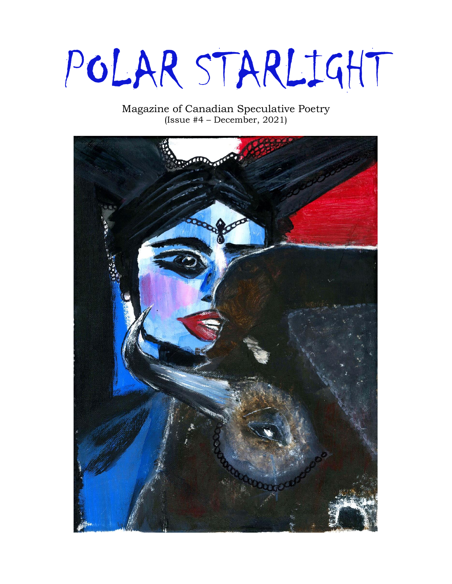# POLAR STARLIGHT

Magazine of Canadian Speculative Poetry (Issue #4 – December, 2021)

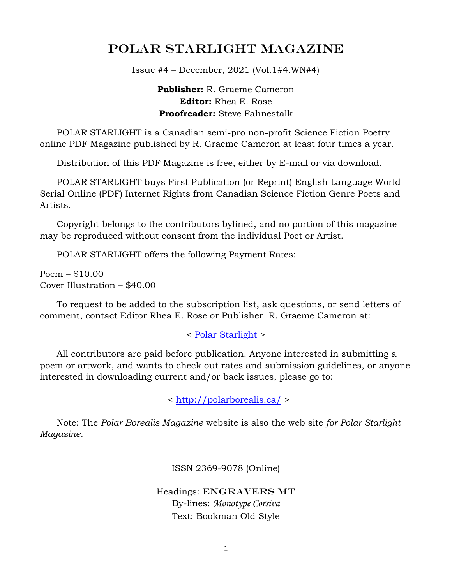## POLAR STARLIGHT Magazine

Issue #4 – December, 2021 (Vol.1#4.WN#4)

**Publisher:** R. Graeme Cameron **Editor:** Rhea E. Rose **Proofreader:** Steve Fahnestalk

 POLAR STARLIGHT is a Canadian semi-pro non-profit Science Fiction Poetry online PDF Magazine published by R. Graeme Cameron at least four times a year.

Distribution of this PDF Magazine is free, either by E-mail or via download.

 POLAR STARLIGHT buys First Publication (or Reprint) English Language World Serial Online (PDF) Internet Rights from Canadian Science Fiction Genre Poets and Artists.

 Copyright belongs to the contributors bylined, and no portion of this magazine may be reproduced without consent from the individual Poet or Artist.

POLAR STARLIGHT offers the following Payment Rates:

Poem – \$10.00 Cover Illustration – \$40.00

 To request to be added to the subscription list, ask questions, or send letters of comment, contact Editor Rhea E. Rose or Publisher R. Graeme Cameron at:

< [Polar Starlight](mailto:polar.borealis.magazine@gmail.com) >

 All contributors are paid before publication. Anyone interested in submitting a poem or artwork, and wants to check out rates and submission guidelines, or anyone interested in downloading current and/or back issues, please go to:

<<http://polarborealis.ca/> >

 Note: The *Polar Borealis Magazine* website is also the web site *for Polar Starlight Magazine.*

ISSN 2369-9078 (Online)

Headings: ENGRAVERS MT By-lines: *Monotype Corsiva* Text: Bookman Old Style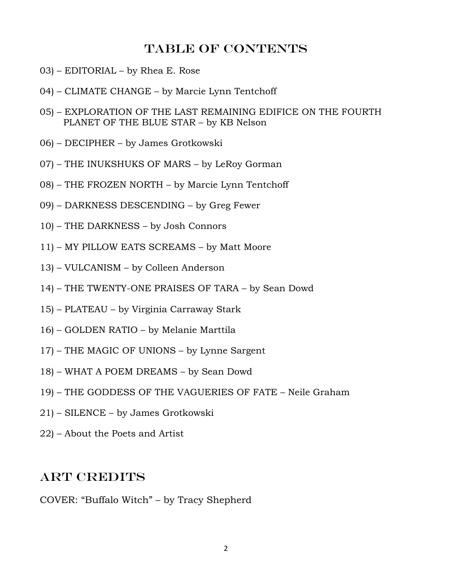## Table of contents

- 03) EDITORIAL by Rhea E. Rose
- 04) CLIMATE CHANGE by Marcie Lynn Tentchoff
- 05) EXPLORATION OF THE LAST REMAINING EDIFICE ON THE FOURTH PLANET OF THE BLUE STAR – by KB Nelson
- 06) DECIPHER by James Grotkowski
- 07) THE INUKSHUKS OF MARS by LeRoy Gorman
- 08) THE FROZEN NORTH by Marcie Lynn Tentchoff
- 09) DARKNESS DESCENDING by Greg Fewer
- 10) THE DARKNESS by Josh Connors
- 11) MY PILLOW EATS SCREAMS by Matt Moore
- 13) VULCANISM by Colleen Anderson
- 14) THE TWENTY-ONE PRAISES OF TARA by Sean Dowd
- 15) PLATEAU by Virginia Carraway Stark
- 16) GOLDEN RATIO by Melanie Marttila
- 17) THE MAGIC OF UNIONS by Lynne Sargent
- 18) WHAT A POEM DREAMS by Sean Dowd
- 19) THE GODDESS OF THE VAGUERIES OF FATE Neile Graham
- 21) SILENCE by James Grotkowski
- 22) About the Poets and Artist

#### Art Credits

COVER: "Buffalo Witch" – by Tracy Shepherd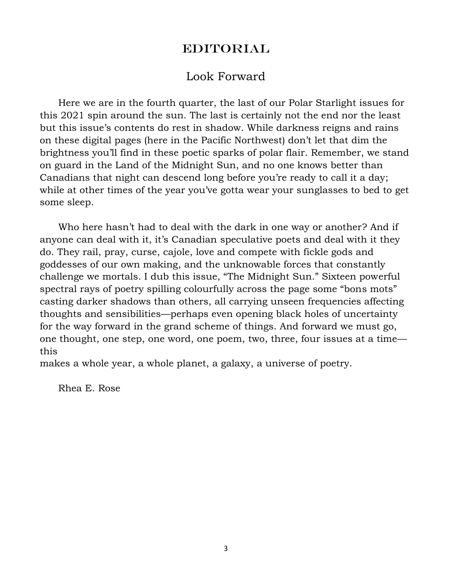## **EDITORIAL**

## Look Forward

 Here we are in the fourth quarter, the last of our Polar Starlight issues for this 2021 spin around the sun. The last is certainly not the end nor the least but this issue's contents do rest in shadow. While darkness reigns and rains on these digital pages (here in the Pacific Northwest) don't let that dim the brightness you'll find in these poetic sparks of polar flair. Remember, we stand on guard in the Land of the Midnight Sun, and no one knows better than Canadians that night can descend long before you're ready to call it a day; while at other times of the year you've gotta wear your sunglasses to bed to get some sleep.

 Who here hasn't had to deal with the dark in one way or another? And if anyone can deal with it, it's Canadian speculative poets and deal with it they do. They rail, pray, curse, cajole, love and compete with fickle gods and goddesses of our own making, and the unknowable forces that constantly challenge we mortals. I dub this issue, "The Midnight Sun." Sixteen powerful spectral rays of poetry spilling colourfully across the page some "bons mots" casting darker shadows than others, all carrying unseen frequencies affecting thoughts and sensibilities—perhaps even opening black holes of uncertainty for the way forward in the grand scheme of things. And forward we must go, one thought, one step, one word, one poem, two, three, four issues at a time this

makes a whole year, a whole planet, a galaxy, a universe of poetry.

Rhea E. Rose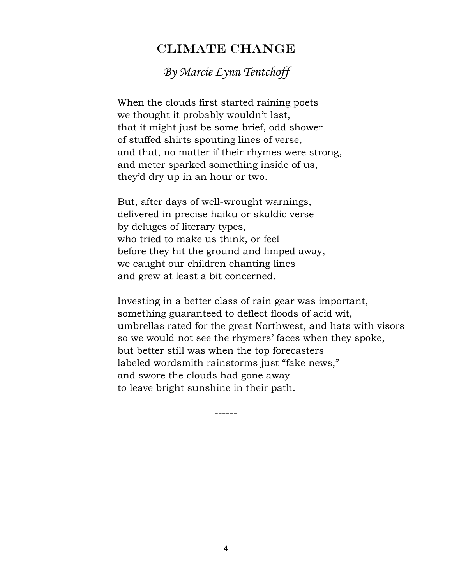## CLIMATE CHANGE

*By Marcie Lynn Tentchoff*

 When the clouds first started raining poets we thought it probably wouldn't last, that it might just be some brief, odd shower of stuffed shirts spouting lines of verse, and that, no matter if their rhymes were strong, and meter sparked something inside of us, they'd dry up in an hour or two.

 But, after days of well-wrought warnings, delivered in precise haiku or skaldic verse by deluges of literary types, who tried to make us think, or feel before they hit the ground and limped away, we caught our children chanting lines and grew at least a bit concerned.

 Investing in a better class of rain gear was important, something guaranteed to deflect floods of acid wit, umbrellas rated for the great Northwest, and hats with visors so we would not see the rhymers' faces when they spoke, but better still was when the top forecasters labeled wordsmith rainstorms just "fake news," and swore the clouds had gone away to leave bright sunshine in their path.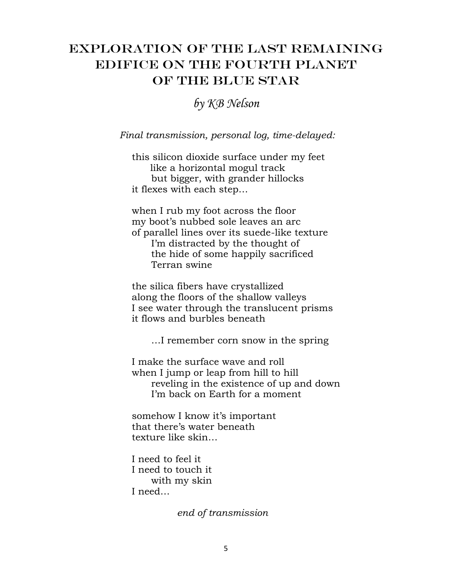# Exploration OF THE LAST REMAINING EDIFICE ON THE Fourth PLANET OF THE BLUE STAR

*by KB Nelson*

*Final transmission, personal log, time-delayed:*

 this silicon dioxide surface under my feet like a horizontal mogul track but bigger, with grander hillocks it flexes with each step…

 when I rub my foot across the floor my boot's nubbed sole leaves an arc of parallel lines over its suede-like texture I'm distracted by the thought of the hide of some happily sacrificed Terran swine

 the silica fibers have crystallized along the floors of the shallow valleys I see water through the translucent prisms it flows and burbles beneath

…I remember corn snow in the spring

 I make the surface wave and roll when I jump or leap from hill to hill reveling in the existence of up and down I'm back on Earth for a moment

 somehow I know it's important that there's water beneath texture like skin…

 I need to feel it I need to touch it with my skin I need…

 *end of transmission*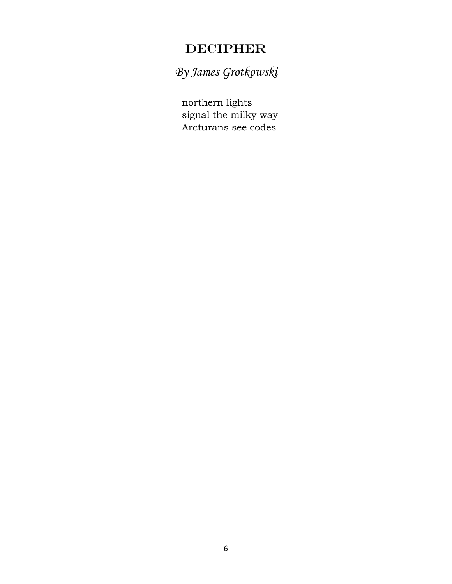# DECIPHER

*By James Grotkowski*

 northern lights signal the milky way Arcturans see codes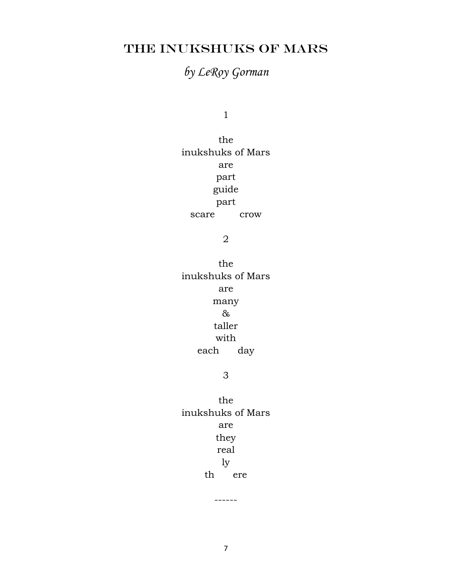# THE INUKSHUKS OF MARS

# *by LeRoy Gorman*

1

the inukshuks of Mars are part guide part scare crow

2

the inukshuks of Mars are many & taller with each day

#### 3

the inukshuks of Mars are they real ly th ere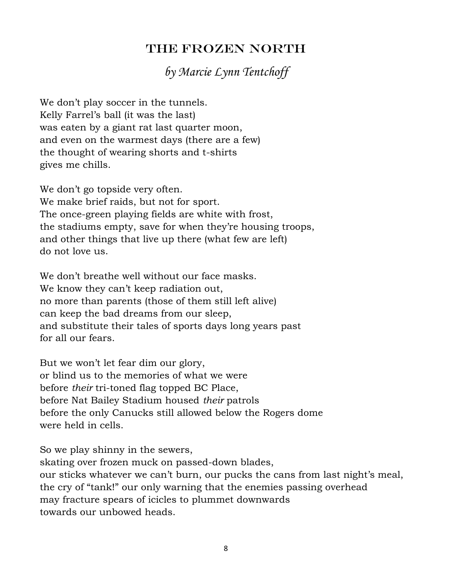# THE FROZEN NORTH

# *by Marcie Lynn Tentchoff*

We don't play soccer in the tunnels. Kelly Farrel's ball (it was the last) was eaten by a giant rat last quarter moon, and even on the warmest days (there are a few) the thought of wearing shorts and t-shirts gives me chills.

We don't go topside very often. We make brief raids, but not for sport. The once-green playing fields are white with frost, the stadiums empty, save for when they're housing troops, and other things that live up there (what few are left) do not love us.

We don't breathe well without our face masks. We know they can't keep radiation out, no more than parents (those of them still left alive) can keep the bad dreams from our sleep, and substitute their tales of sports days long years past for all our fears.

But we won't let fear dim our glory, or blind us to the memories of what we were before *their* tri-toned flag topped BC Place, before Nat Bailey Stadium housed *their* patrols before the only Canucks still allowed below the Rogers dome were held in cells.

So we play shinny in the sewers,

skating over frozen muck on passed-down blades, our sticks whatever we can't burn, our pucks the cans from last night's meal, the cry of "tank!" our only warning that the enemies passing overhead may fracture spears of icicles to plummet downwards towards our unbowed heads.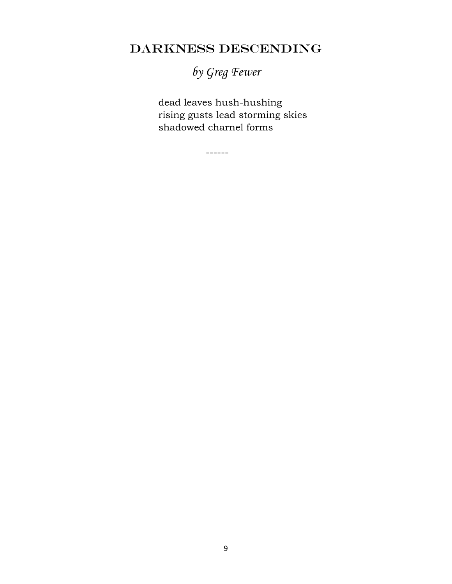# DARKNESS DESCENDING

*by Greg Fewer*

 dead leaves hush-hushing rising gusts lead storming skies shadowed charnel forms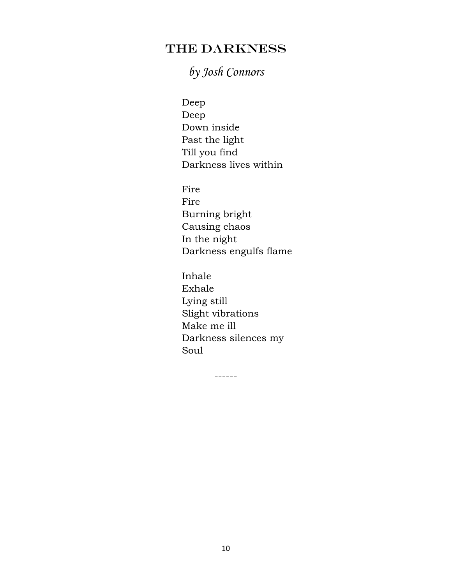# THE DARKNESS

# *by Josh Connors*

 Deep Deep Down inside Past the light Till you find Darkness lives within

 Fire Fire Burning bright Causing chaos In the night Darkness engulfs flame

 Inhale Exhale Lying still Slight vibrations Make me ill Darkness silences my Soul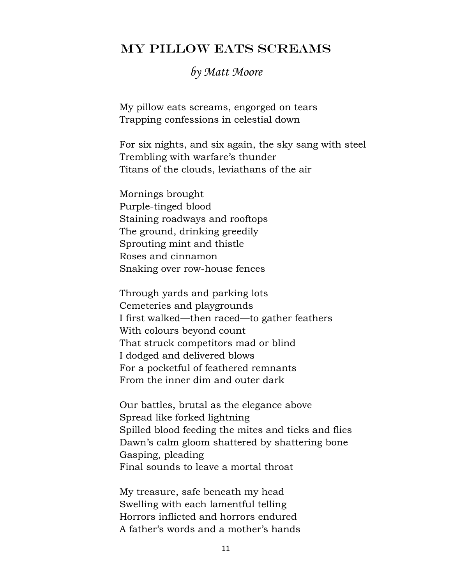#### MY PILLOW EATS SCREAMS

## *by Matt Moore*

My pillow eats screams, engorged on tears Trapping confessions in celestial down

For six nights, and six again, the sky sang with steel Trembling with warfare's thunder Titans of the clouds, leviathans of the air

Mornings brought Purple-tinged blood Staining roadways and rooftops The ground, drinking greedily Sprouting mint and thistle Roses and cinnamon Snaking over row-house fences

Through yards and parking lots Cemeteries and playgrounds I first walked—then raced—to gather feathers With colours beyond count That struck competitors mad or blind I dodged and delivered blows For a pocketful of feathered remnants From the inner dim and outer dark

Our battles, brutal as the elegance above Spread like forked lightning Spilled blood feeding the mites and ticks and flies Dawn's calm gloom shattered by shattering bone Gasping, pleading Final sounds to leave a mortal throat

My treasure, safe beneath my head Swelling with each lamentful telling Horrors inflicted and horrors endured A father's words and a mother's hands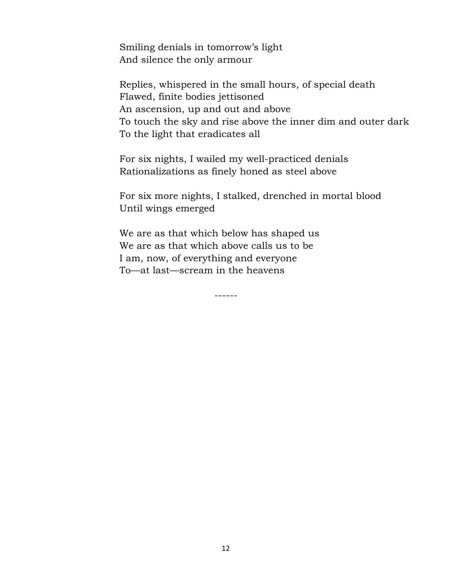Smiling denials in tomorrow's light And silence the only armour

Replies, whispered in the small hours, of special death Flawed, finite bodies jettisoned An ascension, up and out and above To touch the sky and rise above the inner dim and outer dark To the light that eradicates all

For six nights, I wailed my well-practiced denials Rationalizations as finely honed as steel above

For six more nights, I stalked, drenched in mortal blood Until wings emerged

We are as that which below has shaped us We are as that which above calls us to be I am, now, of everything and everyone To—at last—scream in the heavens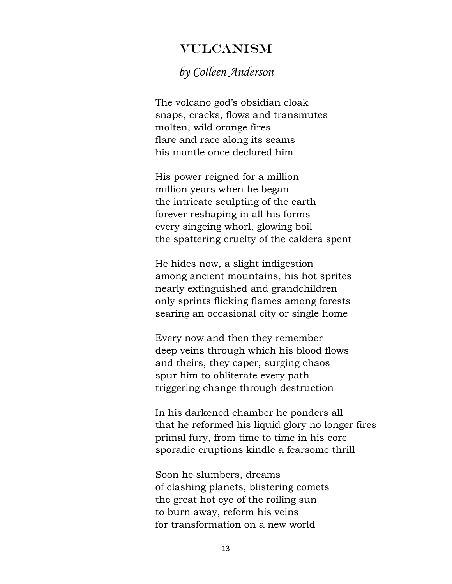## VULCANISM

# *by Colleen Anderson*

 The volcano god's obsidian cloak snaps, cracks, flows and transmutes molten, wild orange fires flare and race along its seams his mantle once declared him

 His power reigned for a million million years when he began the intricate sculpting of the earth forever reshaping in all his forms every singeing whorl, glowing boil the spattering cruelty of the caldera spent

 He hides now, a slight indigestion among ancient mountains, his hot sprites nearly extinguished and grandchildren only sprints flicking flames among forests searing an occasional city or single home

 Every now and then they remember deep veins through which his blood flows and theirs, they caper, surging chaos spur him to obliterate every path triggering change through destruction

 In his darkened chamber he ponders all that he reformed his liquid glory no longer fires primal fury, from time to time in his core sporadic eruptions kindle a fearsome thrill

 Soon he slumbers, dreams of clashing planets, blistering comets the great hot eye of the roiling sun to burn away, reform his veins for transformation on a new world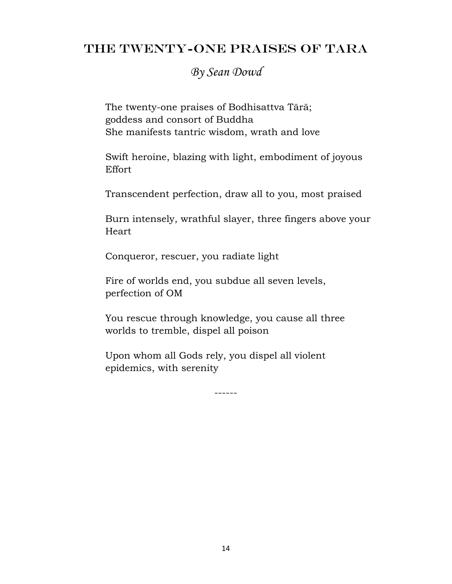## THE TWENTY-ONE PRAISES of TArA

## *By Sean Dowd*

 The twenty-one praises of Bodhisattva Tārā; goddess and consort of Buddha She manifests tantric wisdom, wrath and love

 Swift heroine, blazing with light, embodiment of joyous Effort

Transcendent perfection, draw all to you, most praised

 Burn intensely, wrathful slayer, three fingers above your Heart

Conqueror, rescuer, you radiate light

 Fire of worlds end, you subdue all seven levels, perfection of OM

 You rescue through knowledge, you cause all three worlds to tremble, dispel all poison

 Upon whom all Gods rely, you dispel all violent epidemics, with serenity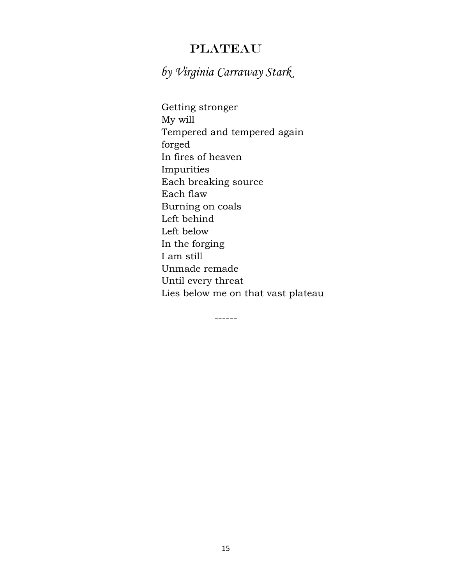## PLATEAU

*by Virginia Carraway Stark*

 Getting stronger My will Tempered and tempered again forged In fires of heaven Impurities Each breaking source Each flaw Burning on coals Left behind Left below In the forging I am still Unmade remade Until every threat Lies below me on that vast plateau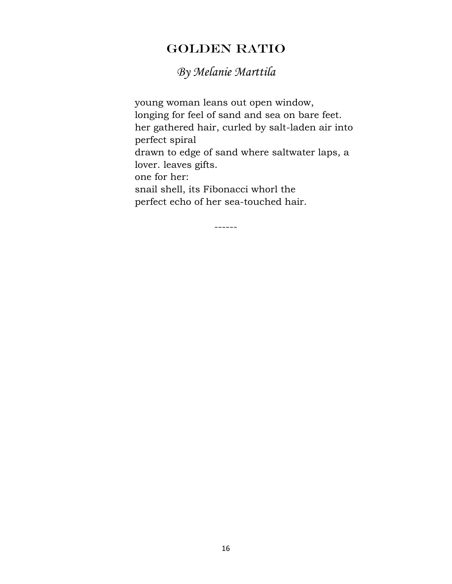# GOLDEN RATIO

# *By Melanie Marttila*

 young woman leans out open window, longing for feel of sand and sea on bare feet. her gathered hair, curled by salt-laden air into perfect spiral drawn to edge of sand where saltwater laps, a lover. leaves gifts. one for her: snail shell, its Fibonacci whorl the perfect echo of her sea-touched hair.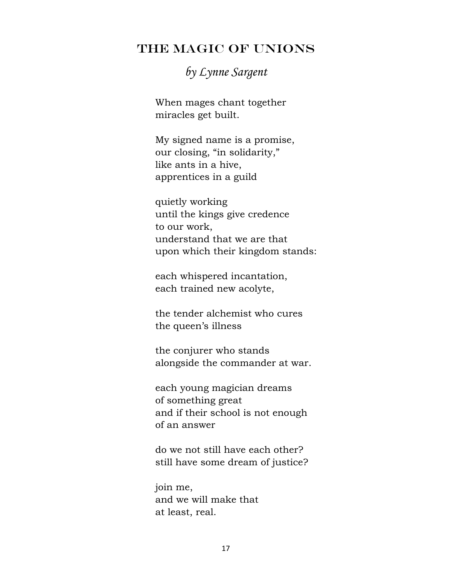## THE MAGIC OF UNIONS

# *by Lynne Sargent*

 When mages chant together miracles get built.

 My signed name is a promise, our closing, "in solidarity," like ants in a hive, apprentices in a guild

 quietly working until the kings give credence to our work, understand that we are that upon which their kingdom stands:

 each whispered incantation, each trained new acolyte,

 the tender alchemist who cures the queen's illness

 the conjurer who stands alongside the commander at war.

 each young magician dreams of something great and if their school is not enough of an answer

 do we not still have each other? still have some dream of justice?

 join me, and we will make that at least, real.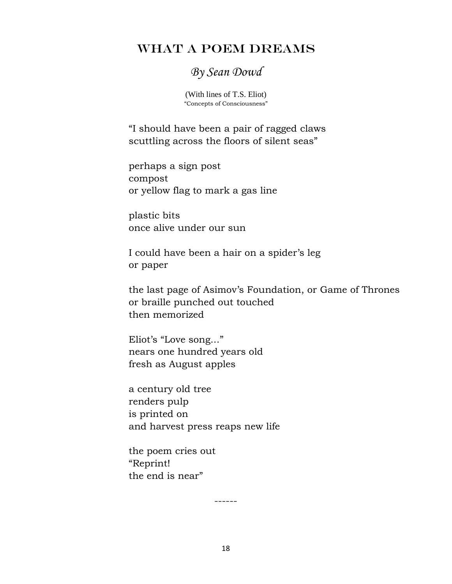## WHAT A POEM DREAMS

## *By Sean Dowd*

(With lines of T.S. Eliot) "Concepts of Consciousness"

 "I should have been a pair of ragged claws scuttling across the floors of silent seas"

 perhaps a sign post compost or yellow flag to mark a gas line

 plastic bits once alive under our sun

 I could have been a hair on a spider's leg or paper

 the last page of Asimov's Foundation, or Game of Thrones or braille punched out touched then memorized

 Eliot's "Love song..." nears one hundred years old fresh as August apples

 a century old tree renders pulp is printed on and harvest press reaps new life

 the poem cries out "Reprint! the end is near"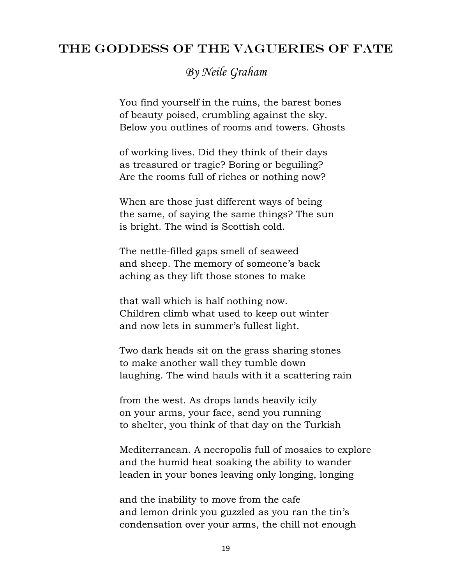## THE GODDESS OF THE VAGUERIES OF FATE

*By Neile Graham*

You find yourself in the ruins, the barest bones of beauty poised, crumbling against the sky. Below you outlines of rooms and towers. Ghosts

of working lives. Did they think of their days as treasured or tragic? Boring or beguiling? Are the rooms full of riches or nothing now?

When are those just different ways of being the same, of saying the same things? The sun is bright. The wind is Scottish cold.

The nettle-filled gaps smell of seaweed and sheep. The memory of someone's back aching as they lift those stones to make

that wall which is half nothing now. Children climb what used to keep out winter and now lets in summer's fullest light.

Two dark heads sit on the grass sharing stones to make another wall they tumble down laughing. The wind hauls with it a scattering rain

from the west. As drops lands heavily icily on your arms, your face, send you running to shelter, you think of that day on the Turkish

Mediterranean. A necropolis full of mosaics to explore and the humid heat soaking the ability to wander leaden in your bones leaving only longing, longing

and the inability to move from the cafe and lemon drink you guzzled as you ran the tin's condensation over your arms, the chill not enough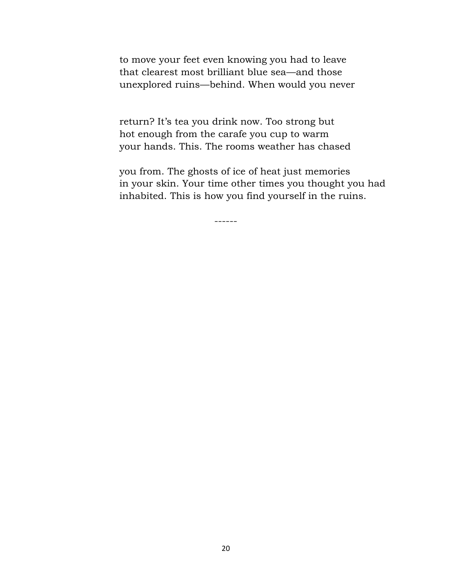to move your feet even knowing you had to leave that clearest most brilliant blue sea—and those unexplored ruins—behind. When would you never

return? It's tea you drink now. Too strong but hot enough from the carafe you cup to warm your hands. This. The rooms weather has chased

you from. The ghosts of ice of heat just memories in your skin. Your time other times you thought you had inhabited. This is how you find yourself in the ruins.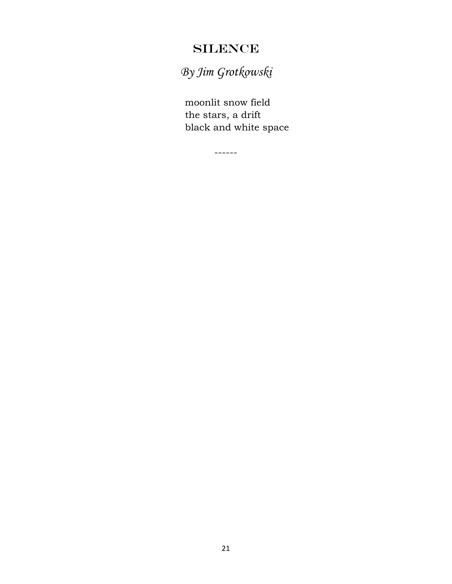# **SILENCE**

*By Jim Grotkowski*

 moonlit snow field the stars, a drift black and white space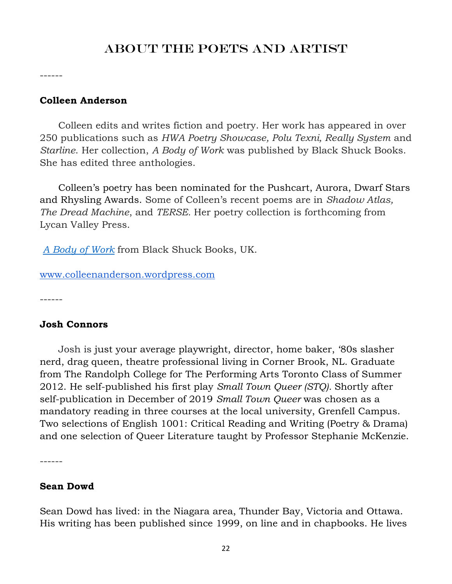# ABOUT THE POETS AND ARTIST

------

#### **Colleen Anderson**

 Colleen edits and writes fiction and poetry. Her work has appeared in over 250 publications such as *HWA Poetry Showcase, Polu Texni, Really System* and *Starline*. Her collection, *A Body of Work* was published by Black Shuck Books. She has edited three anthologies.

 Colleen's poetry has been nominated for the Pushcart, Aurora, Dwarf Stars and Rhysling Awards. Some of Colleen's recent poems are in *Shadow Atlas, The Dread Machine*, and *TERSE.* Her poetry collection is forthcoming from Lycan Valley Press.

*[A Body of Work](https://blackshuckbooks.co.uk/a-body-of-work/)* from Black Shuck Books, UK.

[www.colleenanderson.wordpress.com](http://www.colleenanderson.wordpress.com/)

------

#### **Josh Connors**

 Josh is just your average playwright, director, home baker, '80s slasher nerd, drag queen, theatre professional living in Corner Brook, NL. Graduate from The Randolph College for The Performing Arts Toronto Class of Summer 2012. He self-published his first play *Small Town Queer (STQ).* Shortly after self-publication in December of 2019 *Small Town Queer* was chosen as a mandatory reading in three courses at the local university, Grenfell Campus. Two selections of English 1001: Critical Reading and Writing (Poetry & Drama) and one selection of Queer Literature taught by Professor Stephanie McKenzie.

------

#### **Sean Dowd**

Sean Dowd has lived: in the Niagara area, Thunder Bay, Victoria and Ottawa. His writing has been published since 1999, on line and in chapbooks. He lives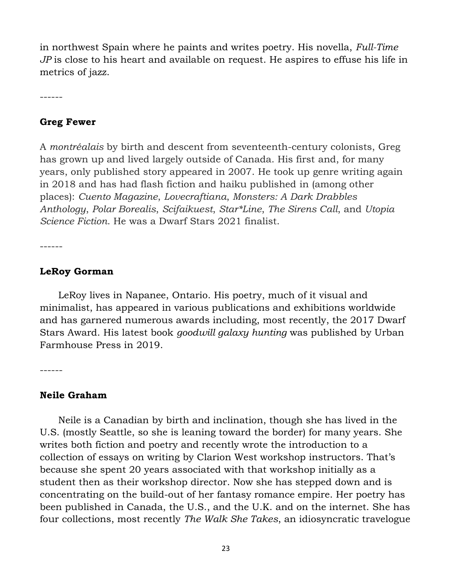in northwest Spain where he paints and writes poetry. His novella, *Full-Time JP* is close to his heart and available on request. He aspires to effuse his life in metrics of jazz.

------

#### **Greg Fewer**

A *montréalais* by birth and descent from seventeenth-century colonists, Greg has grown up and lived largely outside of Canada. His first and, for many years, only published story appeared in 2007. He took up genre writing again in 2018 and has had flash fiction and haiku published in (among other places): *Cuento Magazine*, *Lovecraftiana*, *Monsters: A Dark Drabbles Anthology*, *Polar Borealis*, *Scifaikuest*, *Star\*Line*, *The Sirens Call*, and *Utopia Science Fiction*. He was a Dwarf Stars 2021 finalist.

------

#### **LeRoy Gorman**

 LeRoy lives in Napanee, Ontario. His poetry, much of it visual and minimalist, has appeared in various publications and exhibitions worldwide and has garnered numerous awards including, most recently, the 2017 Dwarf Stars Award. His latest book *goodwill galaxy hunting* was published by Urban Farmhouse Press in 2019.

------

#### **Neile Graham**

 Neile is a Canadian by birth and inclination, though she has lived in the U.S. (mostly Seattle, so she is leaning toward the border) for many years. She writes both fiction and poetry and recently wrote the introduction to a collection of essays on writing by Clarion West workshop instructors. That's because she spent 20 years associated with that workshop initially as a student then as their workshop director. Now she has stepped down and is concentrating on the build-out of her fantasy romance empire. Her poetry has been published in Canada, the U.S., and the U.K. and on the internet. She has four collections, most recently *The Walk She Takes*, an idiosyncratic travelogue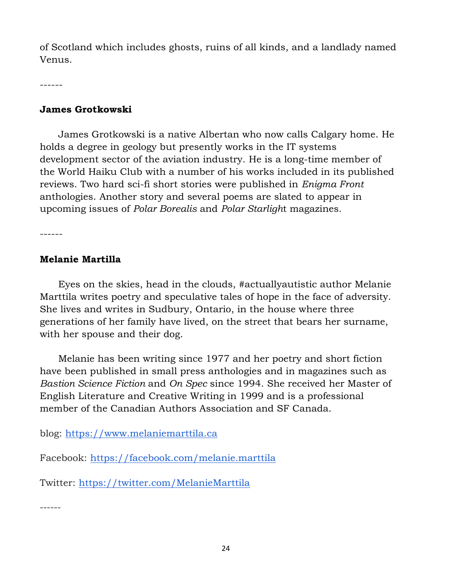of Scotland which includes ghosts, ruins of all kinds, and a landlady named Venus.

------

#### **James Grotkowski**

 James Grotkowski is a native Albertan who now calls Calgary home. He holds a degree in geology but presently works in the IT systems development sector of the aviation industry. He is a long-time member of the World Haiku Club with a number of his works included in its published reviews. Two hard sci-fi short stories were published in *Enigma Front* anthologies. Another story and several poems are slated to appear in upcoming issues of *Polar Borealis* and *Polar Starligh*t magazines.

------

#### **Melanie Martilla**

 Eyes on the skies, head in the clouds, #actuallyautistic author Melanie Marttila writes poetry and speculative tales of hope in the face of adversity. She lives and writes in Sudbury, Ontario, in the house where three generations of her family have lived, on the street that bears her surname, with her spouse and their dog.

 Melanie has been writing since 1977 and her poetry and short fiction have been published in small press anthologies and in magazines such as *Bastion Science Fiction* and *On Spec* since 1994. She received her Master of English Literature and Creative Writing in 1999 and is a professional member of the Canadian Authors Association and SF Canada.

blog: [https://www.melaniemarttila.ca](https://www.melaniemarttila.ca/)

Facebook:<https://facebook.com/melanie.marttila>

Twitter:<https://twitter.com/MelanieMarttila>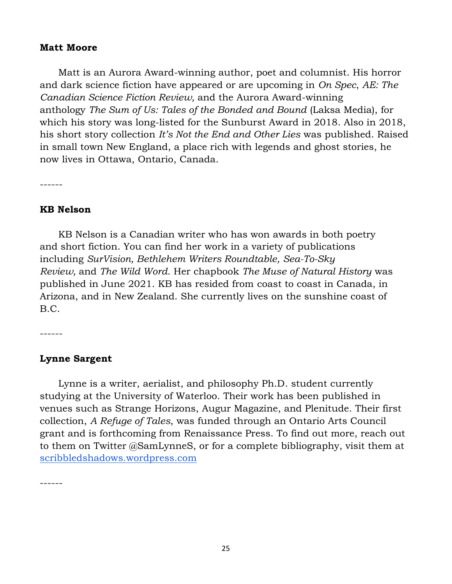#### **Matt Moore**

 Matt is an Aurora Award-winning author, poet and columnist. His horror and dark science fiction have appeared or are upcoming in *On Spec*, *AE: The Canadian Science Fiction Review,* and the Aurora Award-winning anthology *The Sum of Us: Tales of the Bonded and Bound* (Laksa Media), for which his story was long-listed for the Sunburst Award in 2018. Also in 2018, his short story collection *It's Not the End and Other Lies* was published. Raised in small town New England, a place rich with legends and ghost stories, he now lives in Ottawa, Ontario, Canada.

------

#### **KB Nelson**

 KB Nelson is a Canadian writer who has won awards in both poetry and short fiction. You can find her work in a variety of publications including *SurVision, Bethlehem Writers Roundtable, Sea-To-Sky Review,* and *The Wild Word*. Her chapbook *The Muse of Natural History* was published in June 2021. KB has resided from coast to coast in Canada, in Arizona, and in New Zealand. She currently lives on the sunshine coast of B.C.

------

#### **Lynne Sargent**

 Lynne is a writer, aerialist, and philosophy Ph.D. student currently studying at the University of Waterloo. Their work has been published in venues such as Strange Horizons, Augur Magazine, and Plenitude. Their first collection, *A Refuge of Tales*, was funded through an Ontario Arts Council grant and is forthcoming from Renaissance Press. To find out more, reach out to them on Twitter @SamLynneS, or for a complete bibliography, visit them at [scribbledshadows.wordpress.com](http://scribbledshadows.wordpress.com/)